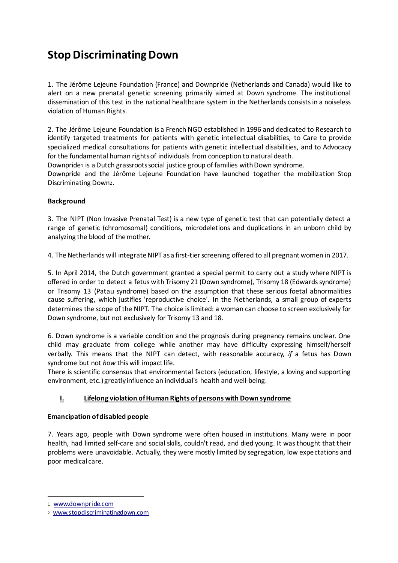# **Stop Discriminating Down**

1. The Jérôme Lejeune Foundation (France) and Downpride (Netherlands and Canada) would like to alert on a new prenatal genetic screening primarily aimed at Down syndrome. The institutional dissemination of this test in the national healthcare system in the Netherlands consists in a noiseless violation of Human Rights.

2. The Jérôme Lejeune Foundation is a French NGO established in 1996 and dedicated to Research to identify targeted treatments for patients with genetic intellectual disabilities, to Care to provide specialized medical consultations for patients with genetic intellectual disabilities, and to Advocacy for the fundamental human rights of individuals from conception to natural death.

Downpride1 is a Dutch grassroots social justice group of families with Down syndrome.

Downpride and the Jérôme Lejeune Foundation have launched together the mobilization Stop Discriminating Down2.

# **Background**

3. The NIPT (Non Invasive Prenatal Test) is a new type of genetic test that can potentially detect a range of genetic (chromosomal) conditions, microdeletions and duplications in an unborn child by analyzing the blood of the mother.

4. The Netherlands will integrate NIPT as a first-tier screening offered to all pregnant women in 2017.

5. In April 2014, the Dutch government granted a special permit to carry out a study where NIPT is offered in order to detect a fetus with Trisomy 21 (Down syndrome), Trisomy 18 (Edwards syndrome) or Trisomy 13 (Patau syndrome) based on the assumption that these serious foetal abnormalities cause suffering, which justifies 'reproductive choice'. In the Netherlands, a small group of experts determines the scope of the NIPT. The choice is limited: a woman can choose to screen exclusively for Down syndrome, but not exclusively for Trisomy 13 and 18.

6. Down syndrome is a variable condition and the prognosis during pregnancy remains unclear. One child may graduate from college while another may have difficulty expressing himself/herself verbally. This means that the NIPT can detect, with reasonable accuracy, *if* a fetus has Down syndrome but not *how* this will impact life.

There is scientific consensus that environmental factors (education, lifestyle, a loving and supporting environment, etc.) greatly influence an individual's health and well-being.

# **I. Lifelong violation of Human Rights of persons with Down syndrome**

#### **Emancipation of disabled people**

7. Years ago, people with Down syndrome were often housed in institutions. Many were in poor health, had limited self-care and social skills, couldn't read, and died young. It was thought that their problems were unavoidable. Actually, they were mostly limited by segregation, low expectations and poor medical care.

-

<sup>1</sup> www.downpride.com

<sup>2</sup> www.stopdiscriminatingdown.com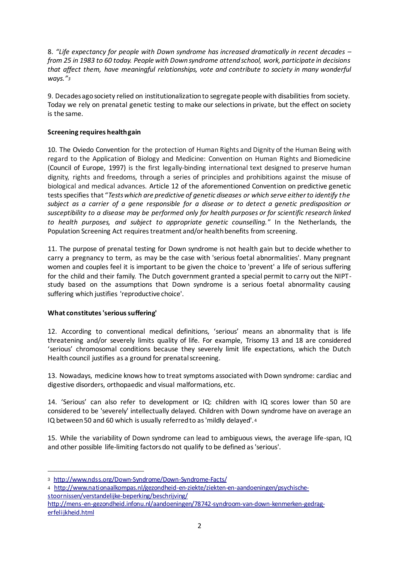8. *"Life expectancy for people with Down syndrome has increased dramatically in recent decades – from 25 in 1983 to 60 today. People with Down syndrome attend school, work, participate in decisions that affect them, have meaningful relationships, vote and contribute to society in many wonderful ways."<sup>3</sup>*

9. Decades ago society relied on institutionalization to segregate people with disabilities from society. Today we rely on prenatal genetic testing to make our selections in private, but the effect on society is the same.

## **Screening requires health gain**

10. The Oviedo Convention for the protection of Human Rights and Dignity of the Human Being with regard to the Application of Biology and Medicine: Convention on Human Rights and Biomedicine (Council of Europe, 1997) is the first legally-binding international text designed to preserve human dignity, rights and freedoms, through a series of principles and prohibitions against the misuse of biological and medical advances. Article 12 of the aforementioned Convention on predictive genetic tests specifies that "*Tests which are predictive of genetic diseases or which serve either to identify the subject as a carrier of a gene responsible for a disease or to detect a genetic predisposition or susceptibility to a disease may be performed only for health purposes or for scientific research linked to health purposes, and subject to appropriate genetic counselling.*" In the Netherlands, the Population Screening Act requires treatment and/or health benefits from screening.

11. The purpose of prenatal testing for Down syndrome is not health gain but to decide whether to carry a pregnancy to term, as may be the case with 'serious foetal abnormalities'. Many pregnant women and couples feel it is important to be given the choice to 'prevent' a life of serious suffering for the child and their family. The Dutch government granted a special permit to carry out the NIPTstudy based on the assumptions that Down syndrome is a serious foetal abnormality causing suffering which justifies 'reproductive choice'.

#### **What constitutes 'serious suffering'**

1

12. According to conventional medical definitions, 'serious' means an abnormality that is life threatening and/or severely limits quality of life. For example, Trisomy 13 and 18 are considered 'serious' chromosomal conditions because they severely limit life expectations, which the Dutch Health council justifies as a ground for prenatal screening.

13. Nowadays, medicine knows how to treat symptoms associated with Down syndrome: cardiac and digestive disorders, orthopaedic and visual malformations, etc.

14. 'Serious' can also refer to development or IQ: children with IQ scores lower than 50 are considered to be 'severely' intellectually delayed. Children with Down syndrome have on average an IQ between 50 and 60 which is usually referred to as 'mildly delayed'. <sup>4</sup>

15. While the variability of Down syndrome can lead to ambiguous views, the average life-span, IQ and other possible life-limiting factors do not qualify to be defined as 'serious'.

- 4 http://www.nationaalkompas.nl/gezondheid-en-ziekte/ziekten-en-aandoeningen/psychischestoornissen/verstandelijke-beperking/beschrijving/
- http://mens-en-gezondheid.infonu.nl/aandoeningen/78742-syndroom-van-down-kenmerken-gedragerfelijkheid.html

<sup>3</sup> http://www.ndss.org/Down-Syndrome/Down-Syndrome-Facts/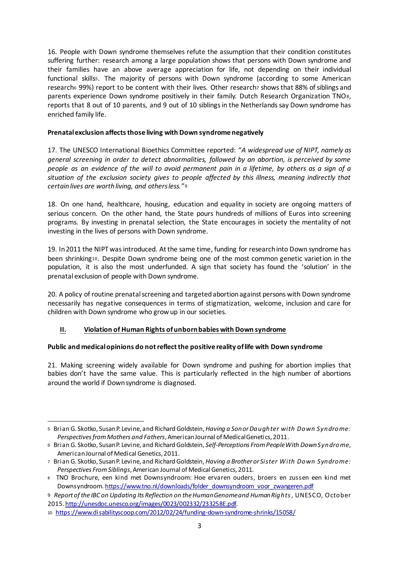16. People with Down syndrome themselves refute the assumption that their condition constitutes suffering further: research among a large population shows that persons with Down syndrome and their families have an above average appreciation for life, not depending on their individual functional skills5. The majority of persons with Down syndrome (according to some American research6 99%) report to be content with their lives. Other research7 shows that 88% of siblings and parents experience Down syndrome positively in their family. Dutch Research Organization TNO8, reports that 8 out of 10 parents, and 9 out of 10 siblings in the Netherlands say Down syndrome has enriched family life.

## **Prenatal exclusion affects those living with Down syndrome negatively**

17. The UNESCO International Bioethics Committee reported: "*A widespread use of NIPT, namely as general screening in order to detect abnormalities, followed by an abortion, is perceived by some people as an evidence of the will to avoid permanent pain in a lifetime, by others as a sign of a situation of the exclusion society gives to people affected by this illness, meaning indirectly that certain lives are worth living, and others less.*"<sup>9</sup>

18. On one hand, healthcare, housing, education and equality in society are ongoing matters of serious concern. On the other hand, the State pours hundreds of millions of Euros into screening programs. By investing in prenatal selection, the State encourages in society the mentality of not investing in the lives of persons with Down syndrome.

19. In 2011 the NIPT was introduced. At the same time, funding for research into Down syndrome has been shrinking10. Despite Down syndrome being one of the most common genetic varietion in the population, it is also the most underfunded. A sign that society has found the 'solution' in the prenatal exclusion of people with Down syndrome.

20. A policy of routine prenatal screening and targeted abortion against persons with Down syndrome necessarily has negative consequences in terms of stigmatization, welcome, inclusion and care for children with Down syndrome who grow up in our societies.

# **II. Violation of Human Rights of unborn babies with Down syndrome**

#### **Public and medical opinions do not reflect the positive reality of life with Down syndrome**

21. Making screening widely available for Down syndrome and pushing for abortion implies that babies don't have the same value. This is particularly reflected in the high number of abortions around the world if Down syndrome is diagnosed.

<sup>-</sup><sup>5</sup> Brian G. Skotko, Susan P. Levine, and Richard Goldstein, *Having a Son or Daughter with Down Syndrome: Perspectives from Mothers and Fathers*, American Journal of Medical Genetics, 2011.

<sup>6</sup> Brian G. Skotko, Susan P. Levine, and Richard Goldstein, *Self-Perceptions From People With Down Syndrome*, American Journal of Medical Genetics, 2011.

<sup>7</sup> Brian G. Skotko, Susan P. Levine, and Richard Goldstein, *Having a Brother or Sister With Down Syndrome: Perspectives From Siblings*, American Journal of Medical Genetics, 2011.

<sup>8</sup> TNO Brochure, een kind met Downsyndroom: Hoe ervaren ouders, broers en zussen een kind met Downsyndroom. https://www.tno.nl/downloads/folder\_downsyndroom\_voor\_zwangeren.pdf

<sup>9</sup> *Report of the IBC on Updating Its Reflection on the Human Genome and Human Rights*, UNESCO, October 2015. http://unesdoc.unesco.org/images/0023/002332/233258E.pdf.

<sup>10</sup> https://www.disabilityscoop.com/2012/02/24/funding-down-syndrome-shrinks/15058/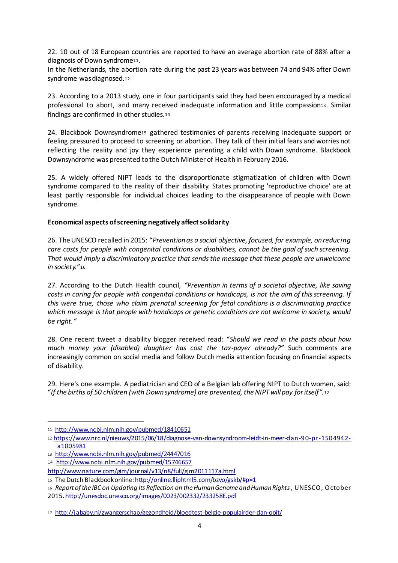22. 10 out of 18 European countries are reported to have an average abortion rate of 88% after a diagnosis of Down syndrome<sup>11</sup>.

In the Netherlands, the abortion rate during the past 23 years was between 74 and 94% after Down syndrome was diagnosed.<sup>12</sup>

23. According to a 2013 study, one in four participants said they had been encouraged by a medical professional to abort, and many received inadequate information and little compassion13. Similar findings are confirmed in other studies.<sup>14</sup>

24. Blackbook Downsyndrome15 gathered testimonies of parents receiving inadequate support or feeling pressured to proceed to screening or abortion. They talk of their initial fears and worries not reflecting the reality and joy they experience parenting a child with Down syndrome. Blackbook Downsyndrome was presented to the Dutch Minister of Health in February 2016.

25. A widely offered NIPT leads to the disproportionate stigmatization of children with Down syndrome compared to the reality of their disability. States promoting 'reproductive choice' are at least partly responsible for individual choices leading to the disappearance of people with Down syndrome.

#### **Economical aspects of screening negatively affect solidarity**

26. The UNESCO recalled in 2015: "*Prevention as a social objective, focused, for example, on reducing care costs for people with congenital conditions or disabilities, cannot be the goal of such screening. That would imply a discriminatory practice that sends the message that these people are unwelcome in society.*"<sup>16</sup>

27. According to the Dutch Health council, *"Prevention in terms of a societal objective, like saving costs in caring for people with congenital conditions or handicaps, is not the aim of this screening. If this were true, those who claim prenatal screening for fetal conditions is a discriminating practice which message is that people with handicaps or genetic conditions are not welcome in society, would be right."*

28. One recent tweet a disability blogger received read: "*Should we read in the posts about how much money your (disabled) daughter has cost the tax-payer already?"* Such comments are increasingly common on social media and follow Dutch media attention focusing on financial aspects of disability.

29. Here's one example. A pediatrician and CEO of a Belgian lab offering NIPT to Dutch women, said: "*If the births of 50 children (with Down syndrome) are prevented, the NIPT will pay for itself".<sup>17</sup>*

-

<sup>11</sup> http://www.ncbi.nlm.nih.gov/pubmed/18410651

<sup>12</sup> https://www.nrc.nl/nieuws/2015/06/18/diagnose-van-downsyndroom-leidt-in-meer-dan-90-pr-1504942 a1005981

<sup>13</sup> http://www.ncbi.nlm.nih.gov/pubmed/24447016

<sup>14</sup> http://www.ncbi.nlm.nih.gov/pubmed/15746657

http://www.nature.com/gim/journal/v13/n8/full/gim2011117a.html

<sup>15</sup> The Dutch Blackbook online: http://online.fliphtml5.com/bzvo/gskb/#p=1

<sup>16</sup> *Report of the IBC on Updating Its Reflection on the Human Genome and Human Rights*, UNESCO, October 2015. http://unesdoc.unesco.org/images/0023/002332/233258E.pdf

<sup>17</sup> http://jababy.nl/zwangerschap/gezondheid/bloedtest-belgie-populairder-dan-ooit/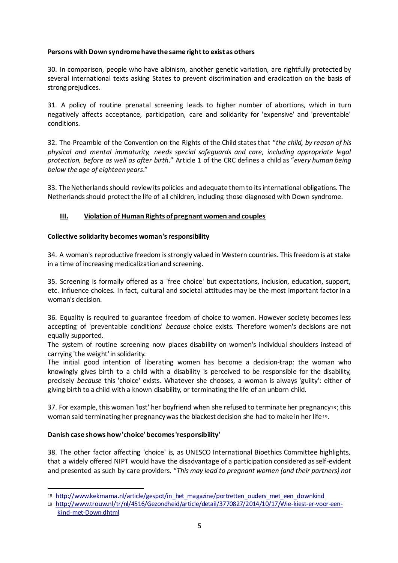#### **Persons with Down syndrome have the same right to exist as others**

30. In comparison, people who have albinism, another genetic variation, are rightfully protected by several international texts asking States to prevent discrimination and eradication on the basis of strong prejudices.

31. A policy of routine prenatal screening leads to higher number of abortions, which in turn negatively affects acceptance, participation, care and solidarity for 'expensive' and 'preventable' conditions.

32. The Preamble of the Convention on the Rights of the Child states that "*the child, by reason of his physical and mental immaturity, needs special safeguards and care, including appropriate legal protection, before as well as after birth*." Article 1 of the CRC defines a child as "*every human being below the age of eighteen years*."

33. The Netherlands should review its policies and adequate them to its international obligations. The Netherlands should protect the life of all children, including those diagnosed with Down syndrome.

#### **III. Violation of Human Rights of pregnant women and couples**

#### **Collective solidarity becomes woman's responsibility**

34. A woman's reproductive freedom is strongly valued in Western countries. This freedom is at stake in a time of increasing medicalization and screening.

35. Screening is formally offered as a 'free choice' but expectations, inclusion, education, support, etc. influence choices. In fact, cultural and societal attitudes may be the most important factor in a woman's decision.

36. Equality is required to guarantee freedom of choice to women. However society becomes less accepting of 'preventable conditions' *because* choice exists. Therefore women's decisions are not equally supported.

The system of routine screening now places disability on women's individual shoulders instead of carrying 'the weight' in solidarity.

The initial good intention of liberating women has become a decision-trap: the woman who knowingly gives birth to a child with a disability is perceived to be responsible for the disability, precisely *because* this 'choice' exists. Whatever she chooses, a woman is always 'guilty': either of giving birth to a child with a known disability, or terminating the life of an unborn child.

37. For example, this woman 'lost' her boyfriend when she refused to terminate her pregnancy18; this woman said terminating her pregnancy was the blackest decision she had to make in her life19.

#### **Danish case shows how 'choice' becomes 'responsibility'**

-

38. The other factor affecting 'choice' is, as UNESCO International Bioethics Committee highlights, that a widely offered NIPT would have the disadvantage of a participation considered as self-evident and presented as such by care providers. "*This may lead to pregnant women (and their partners) not* 

<sup>18</sup> http://www.kekmama.nl/article/gespot/in\_het\_magazine/portretten\_ouders\_met\_een\_downkind

<sup>19</sup> http://www.trouw.nl/tr/nl/4516/Gezondheid/article/detail/3770827/2014/10/17/Wie-kiest-er-voor-eenkind-met-Down.dhtml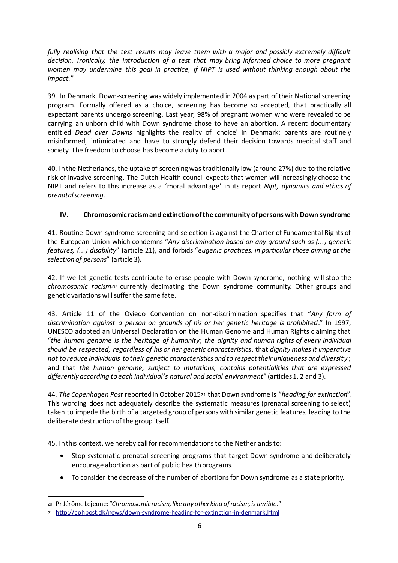*fully realising that the test results may leave them with a major and possibly extremely difficult decision. Ironically, the introduction of a test that may bring informed choice to more pregnant women may undermine this goal in practice, if NIPT is used without thinking enough about the impact.*"

39. In Denmark, Down-screening was widely implemented in 2004 as part of their National screening program. Formally offered as a choice, screening has become so accepted, that practically all expectant parents undergo screening. Last year, 98% of pregnant women who were revealed to be carrying an unborn child with Down syndrome chose to have an abortion. A recent documentary entitled *Dead over Downs* highlights the reality of 'choice' in Denmark: parents are routinely misinformed, intimidated and have to strongly defend their decision towards medical staff and society. The freedom to choose has become a duty to abort.

40. In the Netherlands, the uptake of screening was traditionally low (around 27%) due to the relative risk of invasive screening. The Dutch Health council expects that women will increasingly choose the NIPT and refers to this increase as a 'moral advantage' in its report *Nipt, dynamics and ethics of prenatal screening*.

# **IV. Chromosomic racism and extinction of the community of persons with Down syndrome**

41. Routine Down syndrome screening and selection is against the Charter of Fundamental Rights of the European Union which condemns "*Any discrimination based on any ground such as (...) genetic features, (...) disability*" (article 21), and forbids "*eugenic practices, in particular those aiming at the selection of persons*" (article 3).

42. If we let genetic tests contribute to erase people with Down syndrome, nothing will stop the *chromosomic racism<sup>20</sup>* currently decimating the Down syndrome community. Other groups and genetic variations will suffer the same fate.

43. Article 11 of the Oviedo Convention on non-discrimination specifies that "*Any form of discrimination against a person on grounds of his or her genetic heritage is prohibited*." In 1997, UNESCO adopted an Universal Declaration on the Human Genome and Human Rights claiming that "*the human genome is the heritage of humanity*; *the dignity and human rights of every individual should be respected, regardless of his or her genetic characteristics*, that *dignity makes it imperative not to reduce individuals to their genetic characteristics and to respect their uniqueness and diversity* ; and that *the human genome, subject to mutations, contains potentialities that are expressed differently according to each individual's natural and social environment*" (articles 1, 2 and 3).

44. *The Copenhagen Post* reported in October 2015<sup>21</sup> that Down syndrome is "*heading for extinction*". This wording does not adequately describe the systematic measures (prenatal screening to select) taken to impede the birth of a targeted group of persons with similar genetic features, leading to the deliberate destruction of the group itself.

45. In this context, we hereby call for recommendations to the Netherlands to:

- Stop systematic prenatal screening programs that target Down syndrome and deliberately encourage abortion as part of public health programs.
- To consider the decrease of the number of abortions for Down syndrome as a state priority.

-

<sup>20</sup> Pr Jérôme Lejeune: "*Chromosomic racism, like any other kind of racism, is terrible.*"

<sup>21</sup> http://cphpost.dk/news/down-syndrome-heading-for-extinction-in-denmark.html